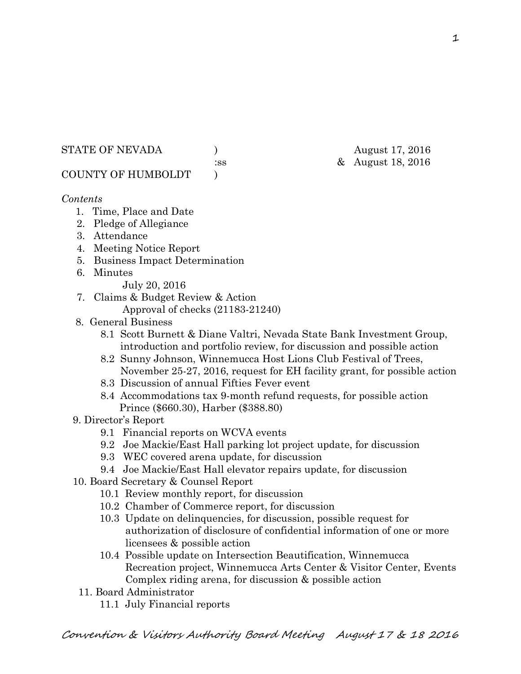STATE OF NEVADA (a) and  $\lambda$  and  $\lambda$  and  $\lambda$  and  $\lambda$  and  $\lambda$  and  $\lambda$  3016

:ss & August 18, 2016

COUNTY OF HUMBOLDT )

*Contents* 

- 1. Time, Place and Date
- 2. Pledge of Allegiance
- 3. Attendance
- 4. Meeting Notice Report
- 5. Business Impact Determination
- 6. Minutes
	- July 20, 2016
- 7. Claims & Budget Review & Action
	- Approval of checks (21183-21240)
- 8. General Business
	- 8.1 Scott Burnett & Diane Valtri, Nevada State Bank Investment Group, introduction and portfolio review, for discussion and possible action
	- 8.2 Sunny Johnson, Winnemucca Host Lions Club Festival of Trees, November 25-27, 2016, request for EH facility grant, for possible action
	- 8.3 Discussion of annual Fifties Fever event
	- 8.4 Accommodations tax 9-month refund requests, for possible action Prince (\$660.30), Harber (\$388.80)
- 9. Director's Report
	- 9.1 Financial reports on WCVA events
	- 9.2 Joe Mackie/East Hall parking lot project update, for discussion
	- 9.3 WEC covered arena update, for discussion
	- 9.4 Joe Mackie/East Hall elevator repairs update, for discussion
- 10. Board Secretary & Counsel Report
	- 10.1 Review monthly report, for discussion
	- 10.2 Chamber of Commerce report, for discussion
	- 10.3 Update on delinquencies, for discussion, possible request for authorization of disclosure of confidential information of one or more licensees & possible action
	- 10.4 Possible update on Intersection Beautification, Winnemucca Recreation project, Winnemucca Arts Center & Visitor Center, Events Complex riding arena, for discussion & possible action
	- 11. Board Administrator
		- 11.1 July Financial reports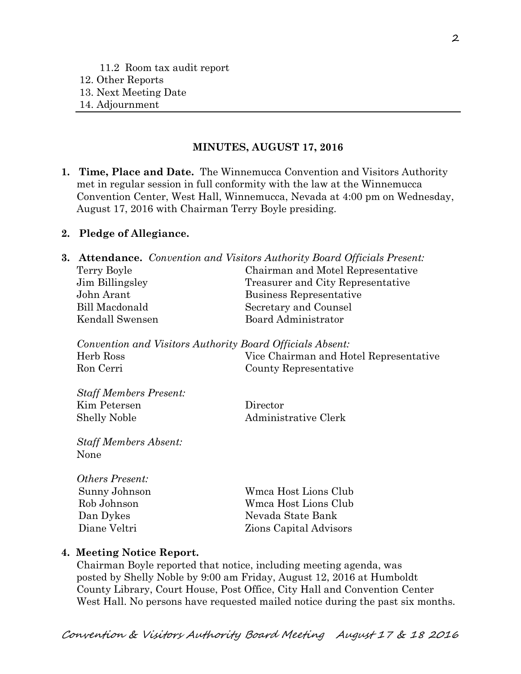#### **MINUTES, AUGUST 17, 2016**

**1. Time, Place and Date.** The Winnemucca Convention and Visitors Authority met in regular session in full conformity with the law at the Winnemucca Convention Center, West Hall, Winnemucca, Nevada at 4:00 pm on Wednesday, August 17, 2016 with Chairman Terry Boyle presiding.

#### **2. Pledge of Allegiance.**

|                 | <b>3. Attendance.</b> Convention and Visitors Authority Board Officials Present: |  |  |
|-----------------|----------------------------------------------------------------------------------|--|--|
| Terry Boyle     | Chairman and Motel Representative                                                |  |  |
| Jim Billingsley | Treasurer and City Representative                                                |  |  |
| John Arant      | Business Representative                                                          |  |  |
| Bill Macdonald  | Secretary and Counsel                                                            |  |  |
| Kendall Swensen | Board Administrator                                                              |  |  |
|                 |                                                                                  |  |  |

*Convention and Visitors Authority Board Officials Absent:*  Herb Ross Vice Chairman and Hotel Representative Ron Cerri County Representative

*Staff Members Present:* Kim Petersen Director Shelly Noble Administrative Clerk

*Staff Members Absent:*  None

| <b>Others Present:</b> |                               |
|------------------------|-------------------------------|
| Sunny Johnson          | Wmca Host Lions Club          |
| Rob Johnson            | Wmca Host Lions Club          |
| Dan Dykes              | Nevada State Bank             |
| Diane Veltri           | <b>Zions Capital Advisors</b> |

#### **4. Meeting Notice Report.**

Chairman Boyle reported that notice, including meeting agenda, was posted by Shelly Noble by 9:00 am Friday, August 12, 2016 at Humboldt County Library, Court House, Post Office, City Hall and Convention Center West Hall. No persons have requested mailed notice during the past six months.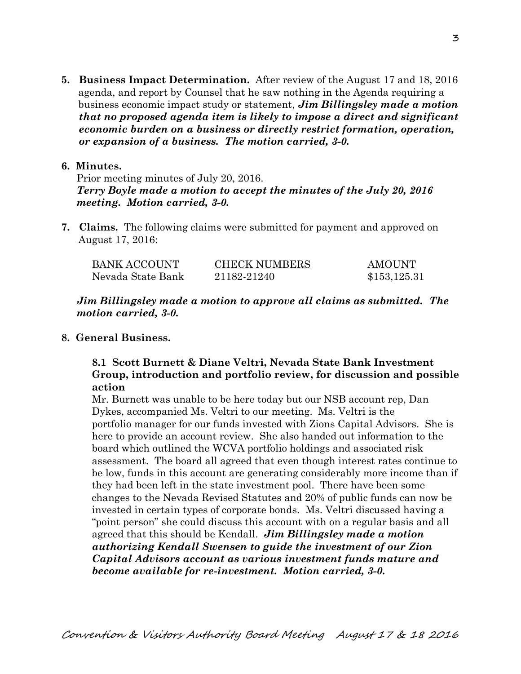**5. Business Impact Determination.** After review of the August 17 and 18, 2016 agenda, and report by Counsel that he saw nothing in the Agenda requiring a business economic impact study or statement, *Jim Billingsley made a motion that no proposed agenda item is likely to impose a direct and significant economic burden on a business or directly restrict formation, operation, or expansion of a business. The motion carried, 3-0.* 

#### **6. Minutes.**

Prior meeting minutes of July 20, 2016. *Terry Boyle made a motion to accept the minutes of the July 20, 2016 meeting. Motion carried, 3-0.* 

**7. Claims.** The following claims were submitted for payment and approved on August 17, 2016:

| <b>BANK ACCOUNT</b> | <b>CHECK NUMBERS</b> | <b>AMOUNT</b> |
|---------------------|----------------------|---------------|
| Nevada State Bank   | 21182-21240          | \$153,125.31  |

*Jim Billingsley made a motion to approve all claims as submitted. The motion carried, 3-0.* 

### **8. General Business.**

## **8.1 Scott Burnett & Diane Veltri, Nevada State Bank Investment Group, introduction and portfolio review, for discussion and possible action**

Mr. Burnett was unable to be here today but our NSB account rep, Dan Dykes, accompanied Ms. Veltri to our meeting. Ms. Veltri is the portfolio manager for our funds invested with Zions Capital Advisors. She is here to provide an account review. She also handed out information to the board which outlined the WCVA portfolio holdings and associated risk assessment. The board all agreed that even though interest rates continue to be low, funds in this account are generating considerably more income than if they had been left in the state investment pool. There have been some changes to the Nevada Revised Statutes and 20% of public funds can now be invested in certain types of corporate bonds. Ms. Veltri discussed having a "point person" she could discuss this account with on a regular basis and all agreed that this should be Kendall. *Jim Billingsley made a motion authorizing Kendall Swensen to guide the investment of our Zion Capital Advisors account as various investment funds mature and become available for re-investment. Motion carried, 3-0.*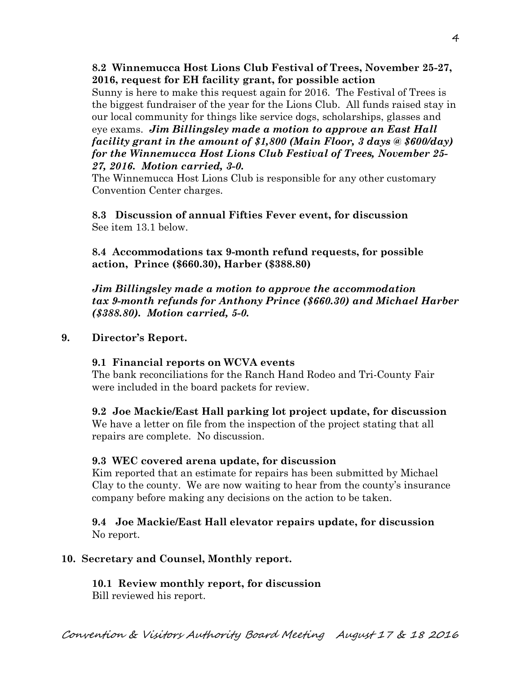**8.2 Winnemucca Host Lions Club Festival of Trees, November 25-27, 2016, request for EH facility grant, for possible action** 

Sunny is here to make this request again for 2016. The Festival of Trees is the biggest fundraiser of the year for the Lions Club. All funds raised stay in our local community for things like service dogs, scholarships, glasses and eye exams. *Jim Billingsley made a motion to approve an East Hall facility grant in the amount of \$1,800 (Main Floor, 3 days @ \$600/day) for the Winnemucca Host Lions Club Festival of Trees, November 25- 27, 2016. Motion carried, 3-0.* 

The Winnemucca Host Lions Club is responsible for any other customary Convention Center charges.

**8.3 Discussion of annual Fifties Fever event, for discussion**  See item 13.1 below.

**8.4 Accommodations tax 9-month refund requests, for possible action, Prince (\$660.30), Harber (\$388.80)** 

*Jim Billingsley made a motion to approve the accommodation tax 9-month refunds for Anthony Prince (\$660.30) and Michael Harber (\$388.80). Motion carried, 5-0.*

### **9. Director's Report.**

# **9.1 Financial reports on WCVA events**

The bank reconciliations for the Ranch Hand Rodeo and Tri-County Fair were included in the board packets for review.

**9.2 Joe Mackie/East Hall parking lot project update, for discussion**  We have a letter on file from the inspection of the project stating that all repairs are complete. No discussion.

# **9.3 WEC covered arena update, for discussion**

Kim reported that an estimate for repairs has been submitted by Michael Clay to the county. We are now waiting to hear from the county's insurance company before making any decisions on the action to be taken.

**9.4 Joe Mackie/East Hall elevator repairs update, for discussion**  No report.

# **10. Secretary and Counsel, Monthly report.**

**10.1 Review monthly report, for discussion**  Bill reviewed his report.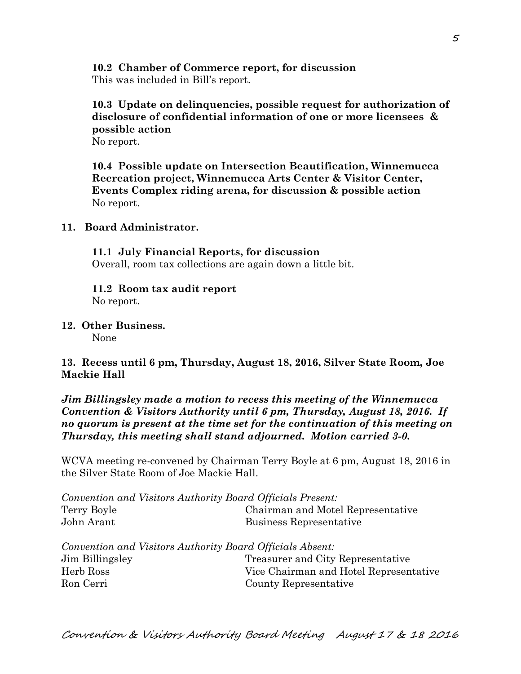**10.2 Chamber of Commerce report, for discussion**  This was included in Bill's report.

## **10.3 Update on delinquencies, possible request for authorization of disclosure of confidential information of one or more licensees & possible action**  No report.

**10.4 Possible update on Intersection Beautification, Winnemucca Recreation project, Winnemucca Arts Center & Visitor Center, Events Complex riding arena, for discussion & possible action**  No report.

### **11. Board Administrator.**

**11.1 July Financial Reports, for discussion**  Overall, room tax collections are again down a little bit.

**11.2 Room tax audit report**  No report.

**12. Other Business.** 

None

## **13. Recess until 6 pm, Thursday, August 18, 2016, Silver State Room, Joe Mackie Hall**

## *Jim Billingsley made a motion to recess this meeting of the Winnemucca Convention & Visitors Authority until 6 pm, Thursday, August 18, 2016. If no quorum is present at the time set for the continuation of this meeting on Thursday, this meeting shall stand adjourned. Motion carried 3-0.*

WCVA meeting re-convened by Chairman Terry Boyle at 6 pm, August 18, 2016 in the Silver State Room of Joe Mackie Hall.

|                 | Convention and Visitors Authority Board Officials Present: |
|-----------------|------------------------------------------------------------|
| Terry Boyle     | Chairman and Motel Representative                          |
| John Arant      | Business Representative                                    |
|                 | Convention and Visitors Authority Board Officials Absent:  |
| Jim Billingsley | Treasurer and City Representative                          |
| Herb Ross       | Vice Chairman and Hotel Representative                     |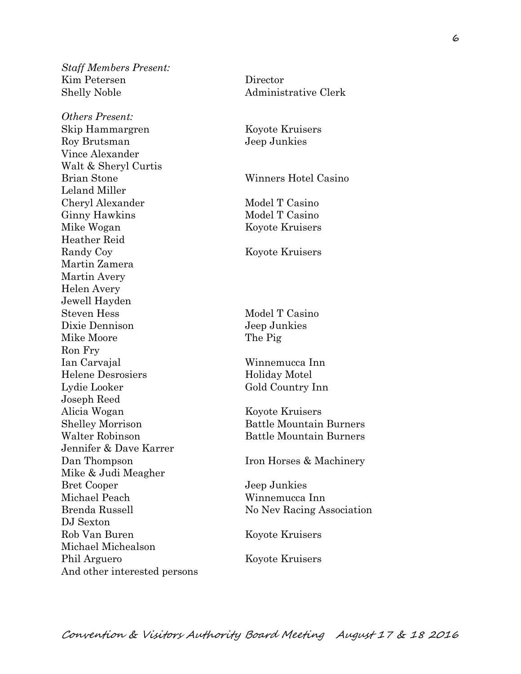*Staff Members Present:*  Kim Petersen Director Shelly Noble Administrative Clerk

*Others Present:*  Skip Hammargren Koyote Kruisers Roy Brutsman Jeep Junkies Vince Alexander Walt & Sheryl Curtis Brian Stone Winners Hotel Casino Leland Miller Cheryl Alexander Model T Casino Ginny Hawkins Model T Casino Mike Wogan Koyote Kruisers Heather Reid Randy Coy Koyote Kruisers Martin Zamera Martin Avery Helen Avery Jewell Hayden Steven Hess Model T Casino Dixie Dennison Jeep Junkies Mike Moore The Pig Ron Fry Ian Carvajal Winnemucca Inn Helene Desrosiers Holiday Motel Lydie Looker Gold Country Inn Joseph Reed Alicia Wogan Koyote Kruisers Shelley Morrison Battle Mountain Burners Walter Robinson Battle Mountain Burners Jennifer & Dave Karrer Dan Thompson Iron Horses & Machinery Mike & Judi Meagher Bret Cooper Jeep Junkies Michael Peach Winnemucca Inn DJ Sexton Rob Van Buren Koyote Kruisers Michael Michealson Phil Arguero Koyote Kruisers And other interested persons

Brenda Russell No Nev Racing Association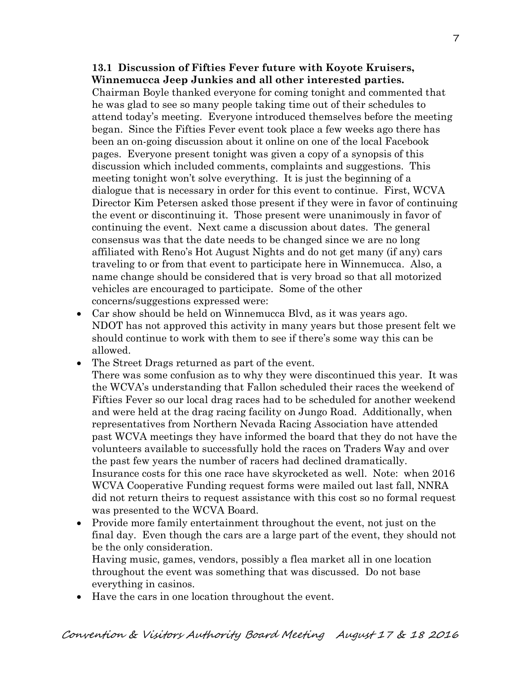#### **13.1 Discussion of Fifties Fever future with Koyote Kruisers, Winnemucca Jeep Junkies and all other interested parties.**

 Chairman Boyle thanked everyone for coming tonight and commented that he was glad to see so many people taking time out of their schedules to attend today's meeting. Everyone introduced themselves before the meeting began. Since the Fifties Fever event took place a few weeks ago there has been an on-going discussion about it online on one of the local Facebook pages. Everyone present tonight was given a copy of a synopsis of this discussion which included comments, complaints and suggestions. This meeting tonight won't solve everything. It is just the beginning of a dialogue that is necessary in order for this event to continue. First, WCVA Director Kim Petersen asked those present if they were in favor of continuing the event or discontinuing it. Those present were unanimously in favor of continuing the event. Next came a discussion about dates. The general consensus was that the date needs to be changed since we are no long affiliated with Reno's Hot August Nights and do not get many (if any) cars traveling to or from that event to participate here in Winnemucca. Also, a name change should be considered that is very broad so that all motorized vehicles are encouraged to participate. Some of the other concerns/suggestions expressed were:

- Car show should be held on Winnemucca Blvd, as it was years ago. NDOT has not approved this activity in many years but those present felt we should continue to work with them to see if there's some way this can be allowed.
- The Street Drags returned as part of the event.

There was some confusion as to why they were discontinued this year. It was the WCVA's understanding that Fallon scheduled their races the weekend of Fifties Fever so our local drag races had to be scheduled for another weekend and were held at the drag racing facility on Jungo Road. Additionally, when representatives from Northern Nevada Racing Association have attended past WCVA meetings they have informed the board that they do not have the volunteers available to successfully hold the races on Traders Way and over the past few years the number of racers had declined dramatically. Insurance costs for this one race have skyrocketed as well. Note: when 2016 WCVA Cooperative Funding request forms were mailed out last fall, NNRA did not return theirs to request assistance with this cost so no formal request was presented to the WCVA Board.

 Provide more family entertainment throughout the event, not just on the final day. Even though the cars are a large part of the event, they should not be the only consideration. Having music, games, vendors, possibly a flea market all in one location

throughout the event was something that was discussed. Do not base everything in casinos.

Have the cars in one location throughout the event.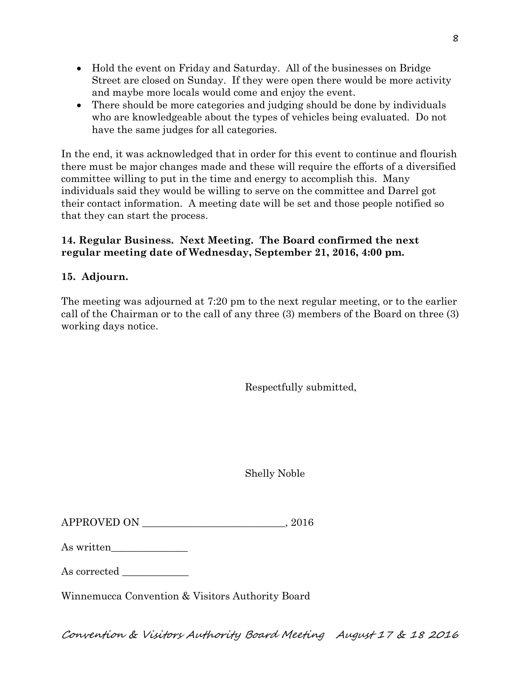- Hold the event on Friday and Saturday. All of the businesses on Bridge Street are closed on Sunday. If they were open there would be more activity and maybe more locals would come and enjoy the event.
- There should be more categories and judging should be done by individuals who are knowledgeable about the types of vehicles being evaluated. Do not have the same judges for all categories.

In the end, it was acknowledged that in order for this event to continue and flourish there must be major changes made and these will require the efforts of a diversified committee willing to put in the time and energy to accomplish this. Many individuals said they would be willing to serve on the committee and Darrel got their contact information. A meeting date will be set and those people notified so that they can start the process.

# **14. Regular Business. Next Meeting. The Board confirmed the next regular meeting date of Wednesday, September 21, 2016, 4:00 pm.**

# **15. Adjourn.**

The meeting was adjourned at 7:20 pm to the next regular meeting, or to the earlier call of the Chairman or to the call of any three (3) members of the Board on three (3) working days notice.

Respectfully submitted,

Shelly Noble

| <b>APPROVED ON</b> | 2016 |
|--------------------|------|
|                    |      |

| As written |  |  |
|------------|--|--|
|            |  |  |

As corrected

Winnemucca Convention & Visitors Authority Board